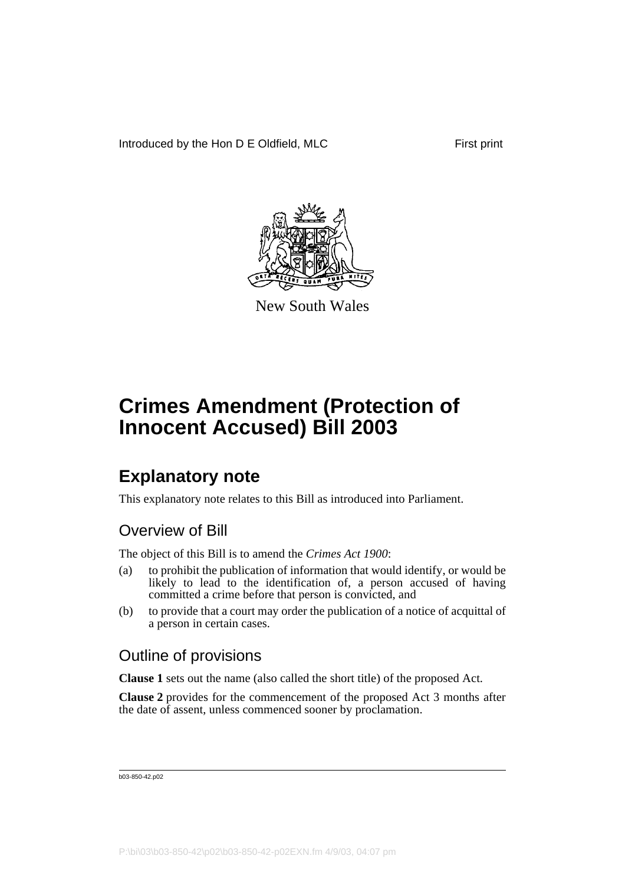

New South Wales

## **Explanatory note**

This explanatory note relates to this Bill as introduced into Parliament.

### Overview of Bill

The object of this Bill is to amend the *Crimes Act 1900*:

- (a) to prohibit the publication of information that would identify, or would be likely to lead to the identification of, a person accused of having committed a crime before that person is convicted, and
- (b) to provide that a court may order the publication of a notice of acquittal of a person in certain cases.

### Outline of provisions

**Clause 1** sets out the name (also called the short title) of the proposed Act.

**Clause 2** provides for the commencement of the proposed Act 3 months after the date of assent, unless commenced sooner by proclamation.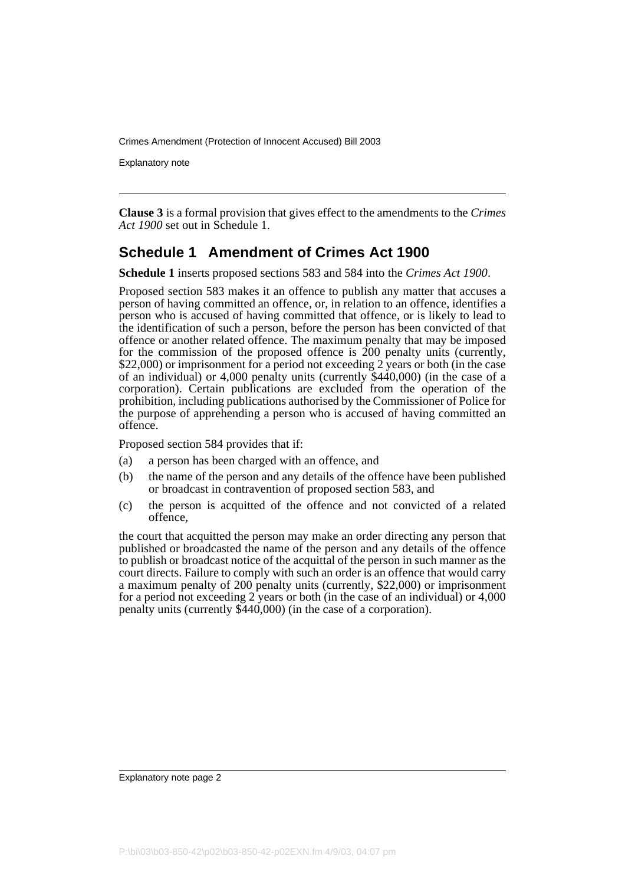Explanatory note

**Clause 3** is a formal provision that gives effect to the amendments to the *Crimes Act 1900* set out in Schedule 1.

#### **Schedule 1 Amendment of Crimes Act 1900**

**Schedule 1** inserts proposed sections 583 and 584 into the *Crimes Act 1900*.

Proposed section 583 makes it an offence to publish any matter that accuses a person of having committed an offence, or, in relation to an offence, identifies a person who is accused of having committed that offence, or is likely to lead to the identification of such a person, before the person has been convicted of that offence or another related offence. The maximum penalty that may be imposed for the commission of the proposed offence is 200 penalty units (currently, \$22,000) or imprisonment for a period not exceeding 2 years or both (in the case of an individual) or 4,000 penalty units (currently \$440,000) (in the case of a corporation). Certain publications are excluded from the operation of the prohibition, including publications authorised by the Commissioner of Police for the purpose of apprehending a person who is accused of having committed an offence.

Proposed section 584 provides that if:

- (a) a person has been charged with an offence, and
- (b) the name of the person and any details of the offence have been published or broadcast in contravention of proposed section 583, and
- (c) the person is acquitted of the offence and not convicted of a related offence,

the court that acquitted the person may make an order directing any person that published or broadcasted the name of the person and any details of the offence to publish or broadcast notice of the acquittal of the person in such manner as the court directs. Failure to comply with such an order is an offence that would carry a maximum penalty of 200 penalty units (currently, \$22,000) or imprisonment for a period not exceeding 2 years or both (in the case of an individual) or 4,000 penalty units (currently \$440,000) (in the case of a corporation).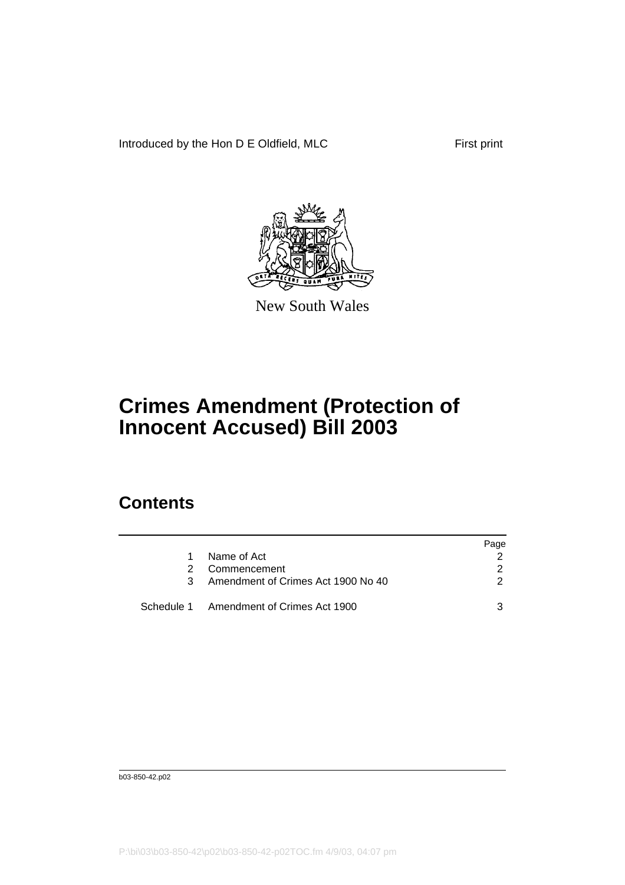Introduced by the Hon D E Oldfield, MLC First print



New South Wales

## **Crimes Amendment (Protection of Innocent Accused) Bill 2003**

### **Contents**

|                                         | Page |
|-----------------------------------------|------|
| Name of Act                             |      |
| Commencement                            |      |
| Amendment of Crimes Act 1900 No 40      |      |
| Schedule 1 Amendment of Crimes Act 1900 |      |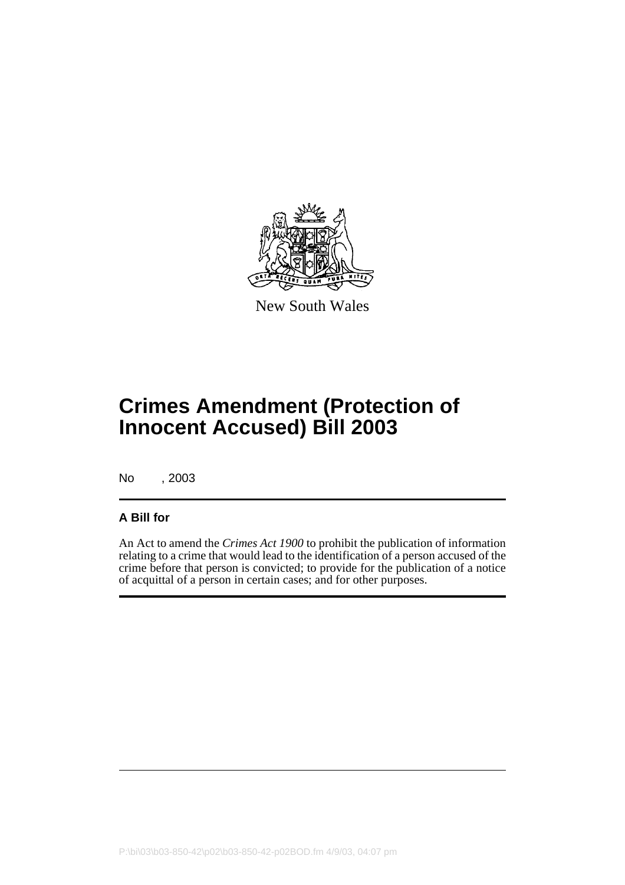

New South Wales

## **Crimes Amendment (Protection of Innocent Accused) Bill 2003**

No , 2003

#### **A Bill for**

An Act to amend the *Crimes Act 1900* to prohibit the publication of information relating to a crime that would lead to the identification of a person accused of the crime before that person is convicted; to provide for the publication of a notice of acquittal of a person in certain cases; and for other purposes.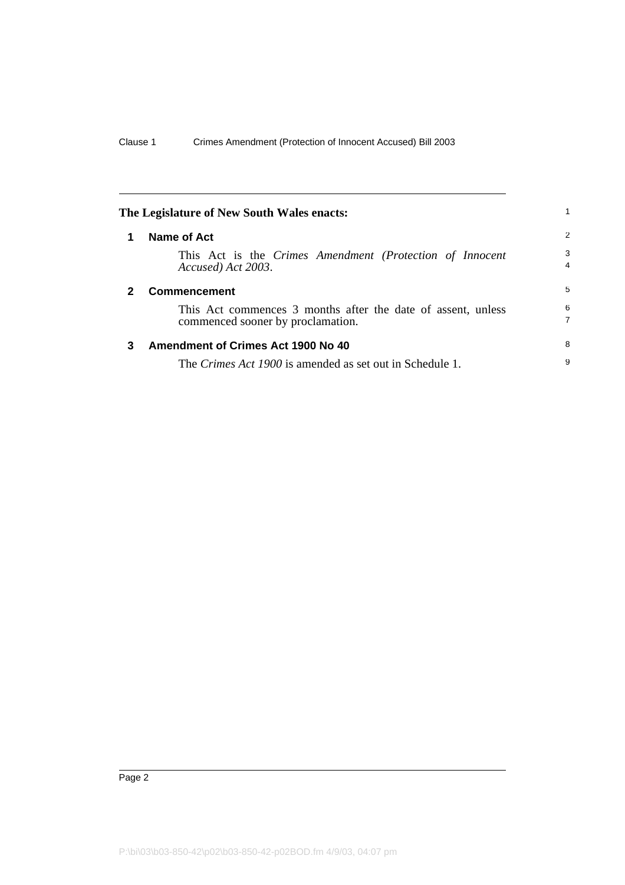<span id="page-5-2"></span><span id="page-5-1"></span><span id="page-5-0"></span>

| The Legislature of New South Wales enacts: |                                                                                                   |                     |
|--------------------------------------------|---------------------------------------------------------------------------------------------------|---------------------|
| 1                                          | Name of Act                                                                                       | 2                   |
|                                            | This Act is the Crimes Amendment (Protection of Innocent<br>Accused) Act 2003.                    | 3<br>$\overline{4}$ |
| 2                                          | <b>Commencement</b>                                                                               | 5                   |
|                                            | This Act commences 3 months after the date of assent, unless<br>commenced sooner by proclamation. | 6<br>7              |
| 3                                          | Amendment of Crimes Act 1900 No 40                                                                | 8                   |
|                                            | The <i>Crimes Act 1900</i> is amended as set out in Schedule 1.                                   | 9                   |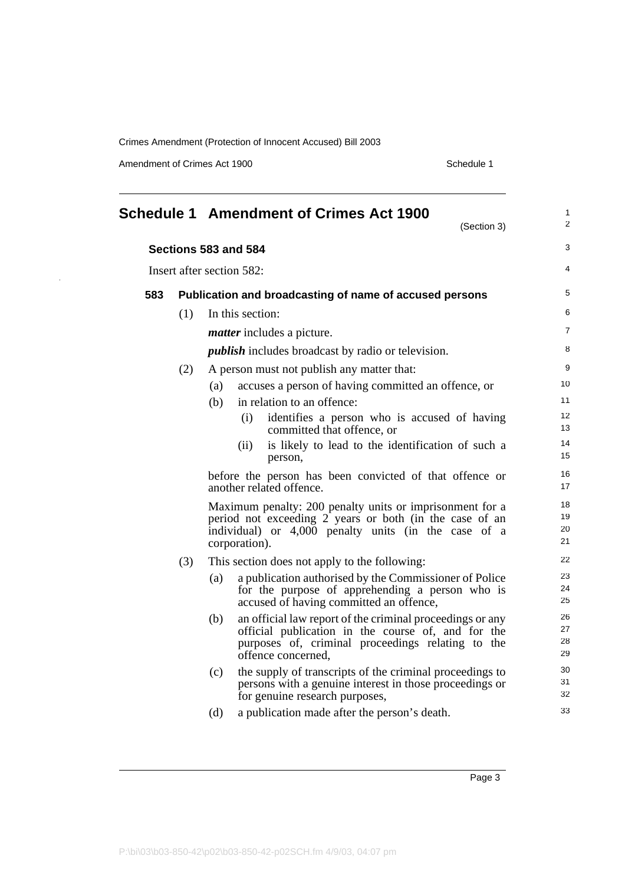Amendment of Crimes Act 1900 Schedule 1

 $\ddot{\phantom{a}}$ 

<span id="page-6-0"></span>

|     |     | Schedule 1 Amendment of Crimes Act 1900<br>(Section 3)                                                                                                                                            | 1<br>$\overline{2}$  |
|-----|-----|---------------------------------------------------------------------------------------------------------------------------------------------------------------------------------------------------|----------------------|
|     |     | Sections 583 and 584                                                                                                                                                                              | 3                    |
|     |     | Insert after section 582:                                                                                                                                                                         | 4                    |
| 583 |     | Publication and broadcasting of name of accused persons                                                                                                                                           | 5                    |
|     | (1) | In this section:                                                                                                                                                                                  | 6                    |
|     |     | <i>matter</i> includes a picture.                                                                                                                                                                 | 7                    |
|     |     | <i>publish</i> includes broadcast by radio or television.                                                                                                                                         | 8                    |
|     | (2) | A person must not publish any matter that:                                                                                                                                                        | 9                    |
|     |     | accuses a person of having committed an offence, or<br>(a)                                                                                                                                        | 10                   |
|     |     | in relation to an offence:<br>(b)                                                                                                                                                                 | 11                   |
|     |     | (i)<br>identifies a person who is accused of having<br>committed that offence, or                                                                                                                 | 12<br>13             |
|     |     | is likely to lead to the identification of such a<br>(ii)<br>person,                                                                                                                              | 14<br>15             |
|     |     | before the person has been convicted of that offence or<br>another related offence.                                                                                                               | 16<br>17             |
|     |     | Maximum penalty: 200 penalty units or imprisonment for a<br>period not exceeding 2 years or both (in the case of an<br>individual) or 4,000 penalty units (in the case of a<br>corporation).      | 18<br>19<br>20<br>21 |
|     | (3) | This section does not apply to the following:                                                                                                                                                     | 22                   |
|     |     | a publication authorised by the Commissioner of Police<br>(a)<br>for the purpose of apprehending a person who is<br>accused of having committed an offence,                                       | 23<br>24<br>25       |
|     |     | an official law report of the criminal proceedings or any<br>(b)<br>official publication in the course of, and for the<br>purposes of, criminal proceedings relating to the<br>offence concerned, | 26<br>27<br>28<br>29 |
|     |     | the supply of transcripts of the criminal proceedings to<br>(c)<br>persons with a genuine interest in those proceedings or<br>for genuine research purposes,                                      | 30<br>31<br>32       |
|     |     | a publication made after the person's death.<br>(d)                                                                                                                                               | 33                   |
|     |     |                                                                                                                                                                                                   |                      |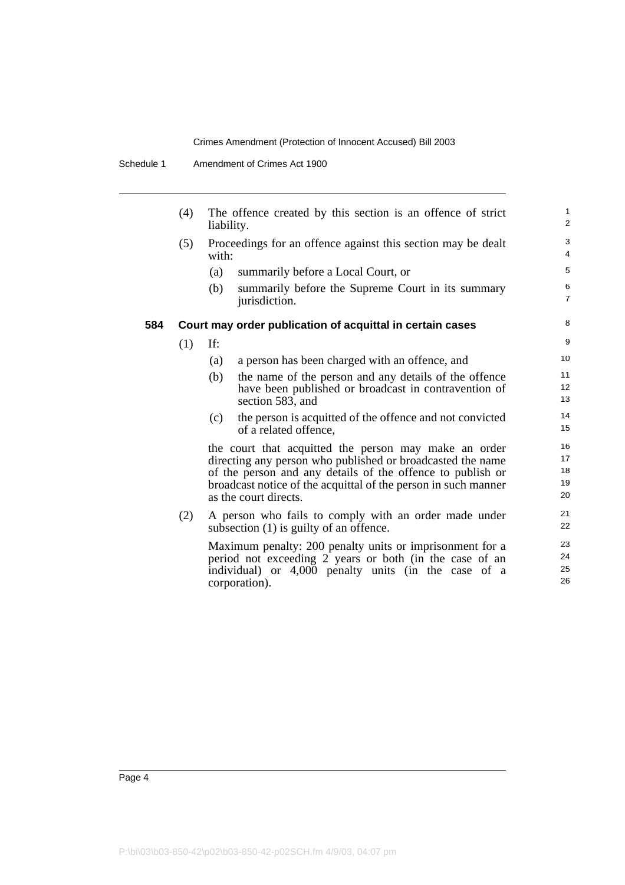Schedule 1 Amendment of Crimes Act 1900

|     | (4) | The offence created by this section is an offence of strict<br>liability.                | $\mathbf{1}$<br>2   |
|-----|-----|------------------------------------------------------------------------------------------|---------------------|
|     | (5) | Proceedings for an offence against this section may be dealt<br>with:                    | 3<br>4              |
|     |     | (a)<br>summarily before a Local Court, or                                                | 5                   |
|     |     | (b)<br>summarily before the Supreme Court in its summary<br>jurisdiction.                | 6<br>$\overline{7}$ |
| 584 |     | Court may order publication of acquittal in certain cases                                | 8                   |
|     | (1) | If:                                                                                      | 9                   |
|     |     | a person has been charged with an offence, and<br>(a)                                    | 10                  |
|     |     | the name of the person and any details of the offence<br>(b)                             | 11                  |
|     |     | have been published or broadcast in contravention of<br>section 583, and                 | 12<br>13            |
|     |     | the person is acquitted of the offence and not convicted<br>(c)<br>of a related offence, | 14<br>15            |
|     |     | the court that acquitted the person may make an order                                    | 16                  |
|     |     | directing any person who published or broadcasted the name                               | 17                  |
|     |     | of the person and any details of the offence to publish or                               | 18<br>19            |
|     |     | broadcast notice of the acquittal of the person in such manner<br>as the court directs.  | 20                  |
|     | (2) | A person who fails to comply with an order made under                                    | 21                  |
|     |     | subsection (1) is guilty of an offence.                                                  | 22                  |
|     |     | Maximum penalty: 200 penalty units or imprisonment for a                                 | 23                  |
|     |     | period not exceeding 2 years or both (in the case of an                                  | 24                  |
|     |     | individual) or 4,000 penalty units (in the case of a<br>corporation).                    | 25<br>26            |
|     |     |                                                                                          |                     |